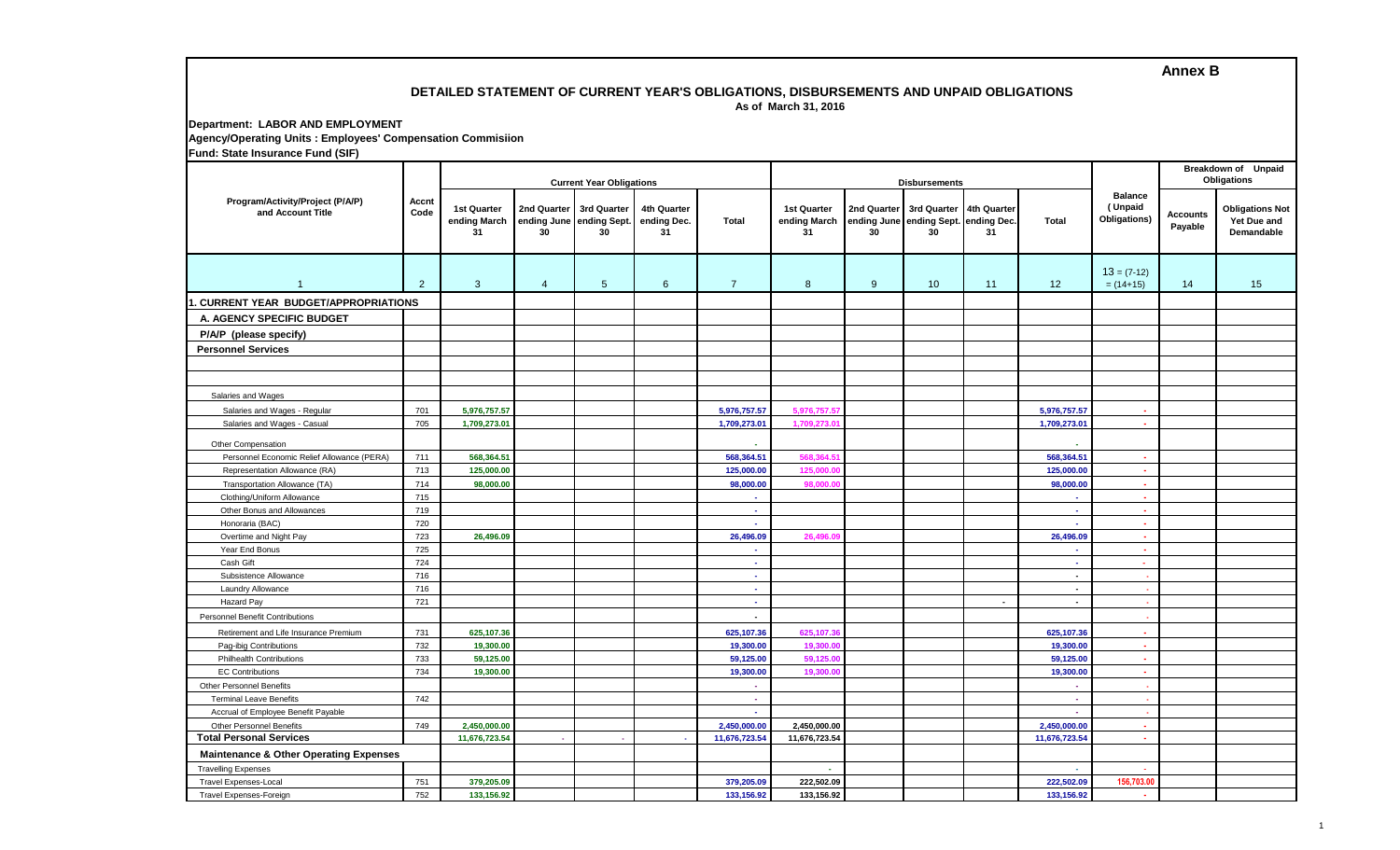# **Annex B**

## **DETAILED STATEMENT OF CURRENT YEAR'S OBLIGATIONS, DISBURSEMENTS AND UNPAID OBLIGATIONS As of March 31, 2016**

### **Department: LABOR AND EMPLOYMENT Agency/Operating Units : Employees' Compensation Commisiion Fund: State Insurance Fund (SIF)**

| Program/Activity/Project (P/A/P)<br>and Account Title          | Accnt<br>Code | <b>Current Year Obligations</b>          |                   |                                               |                                  |                             |                                          | <b>Disbursements</b> |                                                           | <b>Breakdown of Unpaid</b><br>Obligations |                         |                                           |                            |                                                     |
|----------------------------------------------------------------|---------------|------------------------------------------|-------------------|-----------------------------------------------|----------------------------------|-----------------------------|------------------------------------------|----------------------|-----------------------------------------------------------|-------------------------------------------|-------------------------|-------------------------------------------|----------------------------|-----------------------------------------------------|
|                                                                |               | <b>1st Quarter</b><br>ending March<br>31 | 2nd Quarter<br>30 | 3rd Quarter<br>ending June ending Sept.<br>30 | 4th Quarter<br>ending Dec.<br>31 | <b>Total</b>                | <b>1st Quarter</b><br>ending March<br>31 | 30                   | 2nd Quarter 3rd Quarter<br>ending June ending Sept.<br>30 | 4th Quarter<br>ending Dec.<br>31          | Total                   | <b>Balance</b><br>(Unpaid<br>Obligations) | <b>Accounts</b><br>Payable | <b>Obligations Not</b><br>Yet Due and<br>Demandable |
|                                                                | 2             | 3                                        | $\overline{4}$    | $5\phantom{.0}$                               | $6\phantom{1}$                   | $\overline{7}$              | 8                                        | 9                    | 10                                                        | 11                                        | 12                      | $13 = (7-12)$<br>$= (14+15)$              | 14                         | 15                                                  |
| . CURRENT YEAR BUDGET/APPROPRIATIONS                           |               |                                          |                   |                                               |                                  |                             |                                          |                      |                                                           |                                           |                         |                                           |                            |                                                     |
| A. AGENCY SPECIFIC BUDGET                                      |               |                                          |                   |                                               |                                  |                             |                                          |                      |                                                           |                                           |                         |                                           |                            |                                                     |
| P/A/P (please specify)                                         |               |                                          |                   |                                               |                                  |                             |                                          |                      |                                                           |                                           |                         |                                           |                            |                                                     |
| <b>Personnel Services</b>                                      |               |                                          |                   |                                               |                                  |                             |                                          |                      |                                                           |                                           |                         |                                           |                            |                                                     |
|                                                                |               |                                          |                   |                                               |                                  |                             |                                          |                      |                                                           |                                           |                         |                                           |                            |                                                     |
|                                                                |               |                                          |                   |                                               |                                  |                             |                                          |                      |                                                           |                                           |                         |                                           |                            |                                                     |
| Salaries and Wages                                             |               |                                          |                   |                                               |                                  |                             |                                          |                      |                                                           |                                           |                         |                                           |                            |                                                     |
| Salaries and Wages - Regular                                   | 701           | 5,976,757.57                             |                   |                                               |                                  | 5,976,757.57                | 5,976,757.5                              |                      |                                                           |                                           | 5,976,757.57            | ×                                         |                            |                                                     |
| Salaries and Wages - Casual                                    | 705           | 1,709,273.01                             |                   |                                               |                                  | 1,709,273.01                | 1,709,273.0                              |                      |                                                           |                                           | 1,709,273.01            | ÷.                                        |                            |                                                     |
|                                                                |               |                                          |                   |                                               |                                  |                             |                                          |                      |                                                           |                                           |                         |                                           |                            |                                                     |
| Other Compensation                                             |               |                                          |                   |                                               |                                  |                             |                                          |                      |                                                           |                                           |                         |                                           |                            |                                                     |
| Personnel Economic Relief Allowance (PERA)                     | 711<br>713    | 568,364.51                               |                   |                                               |                                  | 568,364.51                  | 568,364.5<br>125,000.0                   |                      |                                                           |                                           | 568,364.51              | $\epsilon$                                |                            |                                                     |
| Representation Allowance (RA)<br>Transportation Allowance (TA) | 714           | 125,000.00                               |                   |                                               |                                  | 125,000.00<br>98,000.00     | 98,000.0                                 |                      |                                                           |                                           | 125,000.00<br>98,000.00 | ×<br>$\sim$                               |                            |                                                     |
| Clothing/Uniform Allowance                                     | 715           | 98,000.00                                |                   |                                               |                                  | a.                          |                                          |                      |                                                           |                                           | $\sim$                  | ×.                                        |                            |                                                     |
| Other Bonus and Allowances                                     | 719           |                                          |                   |                                               |                                  | $\sim$                      |                                          |                      |                                                           |                                           | A.                      | $\sim$                                    |                            |                                                     |
| Honoraria (BAC)                                                | 720           |                                          |                   |                                               |                                  | . н.                        |                                          |                      |                                                           |                                           | <b>A</b>                | . .                                       |                            |                                                     |
| Overtime and Night Pay                                         | 723           | 26,496.09                                |                   |                                               |                                  | 26,496.09                   | 26,496.0                                 |                      |                                                           |                                           | 26,496.09               | ÷                                         |                            |                                                     |
| Year End Bonus                                                 | 725           |                                          |                   |                                               |                                  | $\sim$                      |                                          |                      |                                                           |                                           | $\sim$                  | ٠                                         |                            |                                                     |
| Cash Gift                                                      | 724           |                                          |                   |                                               |                                  | $\sim$                      |                                          |                      |                                                           |                                           | $\sim$                  | ÷,                                        |                            |                                                     |
| Subsistence Allowance                                          | 716           |                                          |                   |                                               |                                  | $\sim$                      |                                          |                      |                                                           |                                           | $\sim$                  |                                           |                            |                                                     |
| Laundry Allowance                                              | 716           |                                          |                   |                                               |                                  | a.                          |                                          |                      |                                                           |                                           | $\sim$                  |                                           |                            |                                                     |
| Hazard Pay                                                     | 721           |                                          |                   |                                               |                                  | $\sim$                      |                                          |                      |                                                           | $\sim$                                    | $\sim$                  |                                           |                            |                                                     |
| Personnel Benefit Contributions                                |               |                                          |                   |                                               |                                  | $\blacksquare$              |                                          |                      |                                                           |                                           |                         |                                           |                            |                                                     |
| Retirement and Life Insurance Premium                          | 731           | 625,107.36                               |                   |                                               |                                  | 625,107.36                  | 625.107.3                                |                      |                                                           |                                           | 625,107.36              |                                           |                            |                                                     |
| Pag-ibig Contributions                                         | 732           | 19,300.00                                |                   |                                               |                                  | 19,300.00                   | 19,300.0                                 |                      |                                                           |                                           | 19,300.00               | $\epsilon$                                |                            |                                                     |
| <b>Philhealth Contributions</b>                                | 733           | 59,125.00                                |                   |                                               |                                  | 59,125.00                   | 59,125.0                                 |                      |                                                           |                                           | 59,125.00               | $\epsilon$                                |                            |                                                     |
| <b>EC Contributions</b>                                        | 734           | 19,300.00                                |                   |                                               |                                  | 19,300.00                   | 19,300.0                                 |                      |                                                           |                                           | 19,300.00               | $\sim$                                    |                            |                                                     |
| Other Personnel Benefits                                       |               |                                          |                   |                                               |                                  | ×.                          |                                          |                      |                                                           |                                           | ×.                      |                                           |                            |                                                     |
| <b>Terminal Leave Benefits</b>                                 | 742           |                                          |                   |                                               |                                  | $\sim$                      |                                          |                      |                                                           |                                           | $\sim$                  |                                           |                            |                                                     |
| Accrual of Employee Benefit Payable                            |               |                                          |                   |                                               |                                  | $\mathcal{L}_{\mathcal{A}}$ |                                          |                      |                                                           |                                           | $\sim$                  |                                           |                            |                                                     |
| Other Personnel Benefits                                       | 749           | 2,450,000.00                             |                   |                                               |                                  | 2,450,000.00                | 2,450,000.00                             |                      |                                                           |                                           | 2,450,000.00            | ×                                         |                            |                                                     |
| <b>Total Personal Services</b>                                 |               | 11,676,723.54                            |                   |                                               |                                  | 11,676,723.54               | 11,676,723.54                            |                      |                                                           |                                           | 11,676,723.54           | . .                                       |                            |                                                     |
| <b>Maintenance &amp; Other Operating Expenses</b>              |               |                                          |                   |                                               |                                  |                             |                                          |                      |                                                           |                                           |                         |                                           |                            |                                                     |
| <b>Travelling Expenses</b>                                     |               |                                          |                   |                                               |                                  |                             | $\sim$                                   |                      |                                                           |                                           | $\sim$                  |                                           |                            |                                                     |
| <b>Travel Expenses-Local</b>                                   | 751           | 379,205.09                               |                   |                                               |                                  | 379,205.09                  | 222,502.09                               |                      |                                                           |                                           | 222,502.09              | 156,703.00                                |                            |                                                     |
| <b>Travel Expenses-Foreign</b>                                 | 752           | 133,156.92                               |                   |                                               |                                  | 133,156.92                  | 133,156.92                               |                      |                                                           |                                           | 133,156.92              | ÷.                                        |                            |                                                     |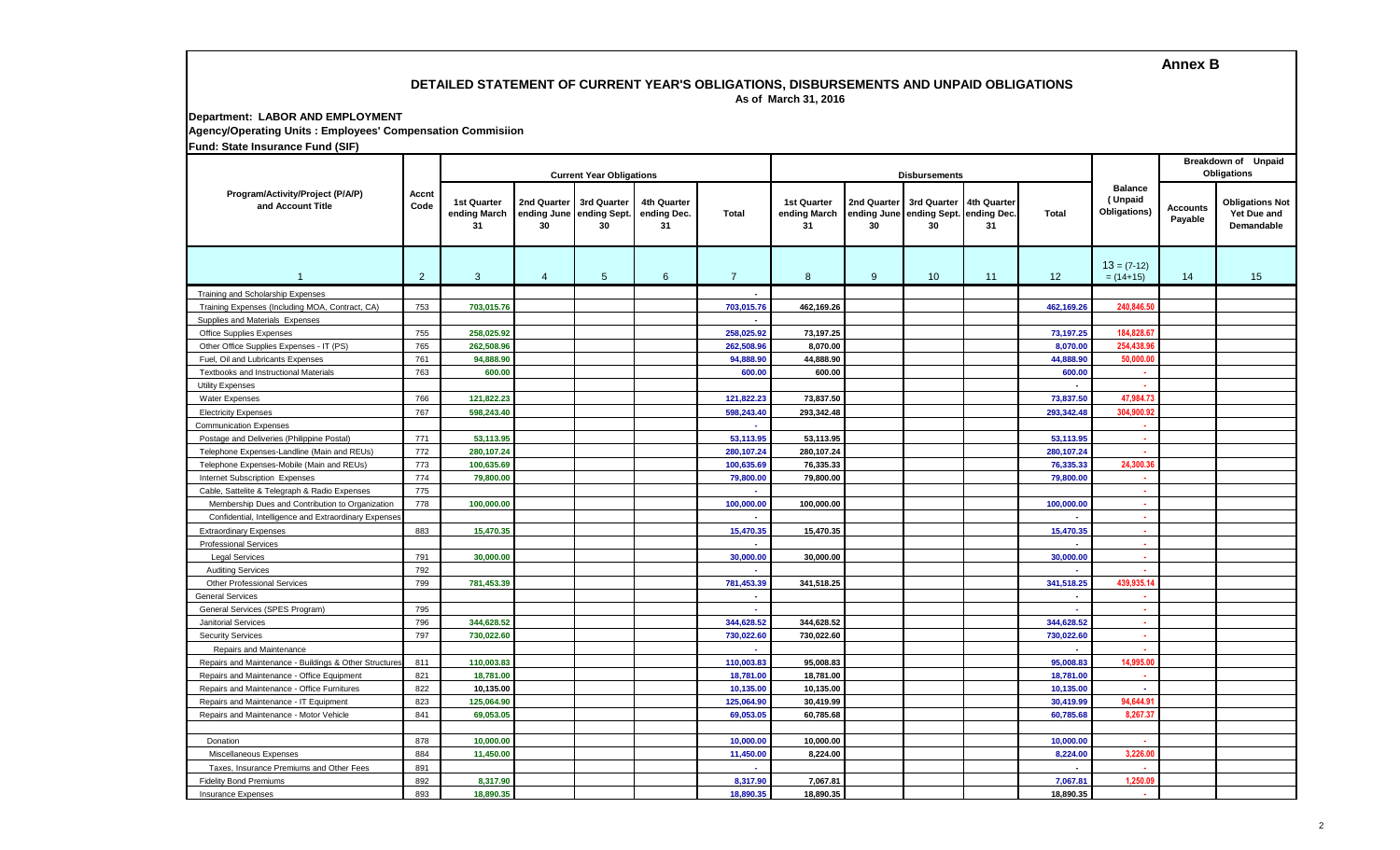### **Annex B**

#### **DETAILED STATEMENT OF CURRENT YEAR'S OBLIGATIONS, DISBURSEMENTS AND UNPAID OBLIGATIONS As of March 31, 2016**

**Department: LABOR AND EMPLOYMENT Agency/Operating Units : Employees' Compensation Commisiion**

**Fund: State Insurance Fund (SIF)** 1 2 3 4 5 6 7 8 9 10 11 12  $13 = (7-12)$  $= (14+15)$  14 15 **2nd Quarter ending June ending Sept. ending Dec. 30 3rd Quarter 30 Program/Activity/Project (P/A/P) and Account Title Accnt Code Current Year Obligations Current Year Obligations According to the Current Objects of Disbursements Balance ( Unpaid Obligations) Total Accounts Breakdown of Unpaid Obligations 4th Quarter 31 Payable Obligations Not Yet Due and Demandable 3rd Quarter ending Sept. ending June 30 4th Quarter ending Dec. 31 Total 1st Quarter ending March 31 1st Quarter ending March 31 2nd Quarter 30 -** Training Expenses Training Expenses (Including MOA, Contract, CA) 753 **703,015.76 703,015.76 462,169.26 462,169.26 240,846.50 -** Office Supplies Expenses 258,025.92 258,025.92 **258,025.92 258,025.92** 73,197.25 73,197.25 73,197.25 73,197.25 Other Office Supplies Expenses - IT (PS) 765 262,508.96 262,508.96 262,508.96 262,508.96 **254,438.9** 262,508.96 **254,438.9**  Fuel, Oil and Lubricants Expenses Fuel, Oil and Lubricants Expenses 761 **94,888.90 94,888.90 44,888.90 44,888.90 50,000.00** Textbooks and Instructional Materials Textbooks and Instructional Materials 763 **600.00 600.00 600.00 600.00 - - -** Water Expenses 766 **121,822.23 121,822.23 73,837.50 73,837.50 47,984.73** Electricity Expenses 767 **598,243.40 598,243.40 293,342.48 293,342.48 304,900.92 - -** Postage and Deliveries (Philippine Postal) 771 **53,113.95 53,113.95 53,113.95 53,113.95 -** Telephone Expenses-Landline (Main and REUs) 772 **280,107.24 280,107.24 280,107.24 280,107.24 -** Telephone Expenses-Mobile (Main and REUs) 773 **100,635.69 100,635.69 76,335.33 76,335.33 24,300.36** Internet Subscription Expenses 774 **79,800.00 79,800.00 79,800.00 79,800.00 -** Cable, Sattelite & Telegraph & Radio Expenses 775 **- -** Membership Dues and Contribution to Organization 778 **100,000.00 100,000.00 100,000.00 100,000.00 -** Confidential, Intelligence and Extraordinary Expenses Extraordinary Expenses 883 **15,470.35 15,470.35 15,470.35 15,470.35 -** Professional Services **- - -** Legal Services 791 **30,000.00 30,000.00 30,000.00 30,000.00 -** Auditing Services 792 **- - -** Other Professional Services 799 **781,453.39 781,453.39 341,518.25 341,518.25 439,935.14** General Services **- - -** General Services (SPES Program) 795 **- - -** Janitorial Services 796 **344,628.52 344,628.52 344,628.52 344,628.52 -** Security Services 797 **730,022.60 730,022.60 730,022.60 730,022.60 -** Repairs and Maintenance **- - -** Repairs and Maintenance - Buildings & Other Structures Repairs and Maintenance - Buildings and Other Structures 811 **110,003.83 110,003.83 95,008.83 95,008.83 14,995.00** Repairs and Maintenance - Office Equipment 821 18,781.00 18,781.00 18,781.00 18,781.00 18,781.00 18,781.00 18,781.00 Repairs and Maintenance - Office Furnitures 822 10,135.00 10,135.00 10,135.00 10,135.00 10,135.00 10,135.00 10,135.00 10,135.00 10,135.00 10,135.00 10,135.00 10,135.00 10,135.00 10,135.00 10,135.00 10,135.00 10,135.00 10,1 Repairs and Maintenance - IT Equipment **Repairs and Fixture 2023** 125,064.90 125,064.90 125,064.90 30,419.99 30,419.99 30,419.99 30,419.99 30,419.99 Repairs and Maintenance - Motor Vehicle 841 **69,053.05 69,053.05 69,053.05 60,785.68 60,785.68 8,267.37** 878 **10,000.00 10,000.00 10,000.00 10,000.00 -** Miscellaneous Expenses 884 **11,450.00 11,450.00 8,224.00 8,224.00 3,226.00** Taxes, Insurance Premiums and Other Fees 891 Fidelity Bond Premiums Fidelity Bond Premiums 892 **8,317.90 8,317.90 7,067.81 7,067.81 1,250.09** Insurance Expenses 893 18,890.35 18,890.35 18,890.35 18,890.35 - Training and Scholarship Expenses Supplies and Materials Expenses Utility Expenses Communication Expenses Donation